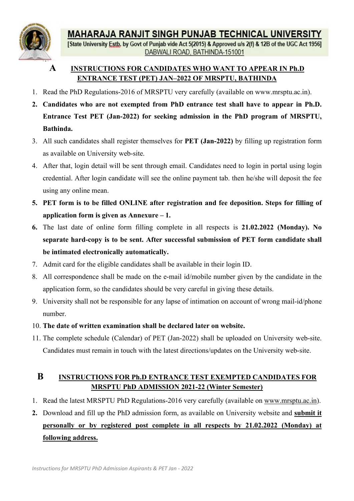

# MAHARAJA RANJIT SINGH PUNJAB TECHNICAL UNIVERSITY<br>
[State University Estb. by Govt of Punjab vide Act 5(2015) & Approved u/s 2(f) & 12B of the UGC Act 1956]<br>
DABWALI ROAD. BATHINDA-151001<br>
ENTRANCE TEST (PET) JAN-2022 OF M

- 
- **AHARAJA RANJIT SINGH PUNJAB TECHNICAL UNIVERSITY**<br>
te University Estb. by Govt of Punjab vide Act 5(2015) & Approved u/s 2(f) & 12B of the UGC Act 1956]<br>
DABWALI ROAD, BATHINDA-151001<br>
SSTRUCTIONS FOR CANDIDATES WHO WANT MAHARAJA RANJIT SINGH PUNJAB TECHNICAL UNIVERSITY<br>
[State University Esta, by Govt of Punjab vide Act 5(2015) & Approved uls 2(f) & 12B of the UGC Act 1956]<br>
DABWALI ROAD, BATHINDA-151001<br>
INSTRUCTIONS FOR CANDIDATES WHO W **MAHARAJA RANJIT SINGH PUNJAB TECHNICAL UNIVERSITY**<br>
<sup>[State University **Estb.** by Govt of Punjab vide Act 5/2015) & Approved uls 2(f) & 12B of the UGC Act 1956]<br> **2.** Candidates WHO ENTRANCE TEST (PET) JAN-2022 OF MRSPTU,</sup> **MAHARAJA RANJIT SINGH PUNJAB TECHNICAL UNIVERSITY**<br>
State University Esta, by Govt of Punjab vide Act 5(2015) & Approved uls 2(f) & 12B of the UGC Act 1956]<br>
DABWALI ROAD, BATHINDA-151001<br>
A INSTRUCTIONS FOR CANDIDATES WH Bathinda. **MAHARAJA RANJIT SINGH PUNJAB TECHNICAL UNIVERSITY**<br>
[State University Estb. by Govt of Punjab vide Act 5(2015) 8 Approved us 2(f) & 12B of the UGC Act 1956]<br> **A** INSTRUCTIONS FOR CANDIDATES WHO WANT TO APPEAR IN Ph.D<br>
ENT **MAHARAJA RANJIT SINGH PUNJAB TECHNICAL UNIVERSIT<br>
State University Estip, by Govt of Punjab vide Act 5(2015) & Approved us 2(1) & 12B of the UGC Act 15<br>
DABWALI ROAD, BATHINDA-151001<br>
A INSTRUCTIONS FOR CANDIDATES WHO WAN** MAHARAJA RANJIT SINGH PUNJAB TECHNICAL UNIVERSITY<br>
[State University Esta, by Govt of Punjab vide Act 5(2015) & Approved us 2(f) & 12B of the UGC Act 1956]<br>
DABWALI ROAD, BATHINDA-151001<br>
A INSTRUCTIONS FOR CANDIDATES WHO **MAHARAJA RANJIT SINGH PUNJAB TECHNICAL UNIVERSITY**<br> **Can University Estib.** by Govt of Punjab vide Act 5(2015) & Approved uls 2(1) & 12B of the UGC Act 1956]<br>
DABWALI ROAD. BATHINDA-151001<br> **A**<br> **CANDIDATES WHO WANT TO A EXECUTE AND SET INTERNATION SET AND SET AND SET AND SET AND SET AND INTERNATIONAL ROAD, BATHINDA-151001**<br> **EXECUTE MEANTLE MEANT TO APPEAR IN**<br> **EXECUTIONS FOR CANDIDATES WHO WANT TO APPEAR IN**<br> **EXECUTIONS FOR CANDIDATE EXERCITIONS FOR CANDIDATES WHO WANT TO APPEAR IN Ph.D.**<br> **EXTRANCE TEST (PET) JAN-2022 OF MRSPTU, BATHINDA**<br>
1. Read the PhD Regulations-2016 of MRSPTU very earcfully (available on www.mrsptu.ae.in).<br>
2. Candidates who ar **A** INSTRUCTIONS FOR CANDIDATES WHO WANT TO APPEAR IN Ph.D<br> **ENTRANCE TEST (PET) JAN-2022 OF MRSPTU. BATHINDA**<br>
Read the PhD Regulations-2016 of MRSPTU very carefully (available on www.mrsptu.ac.in).<br> **Candidates who are ENTRANCE TEST (PET) JAN-2022 OF MRSPTU, BATHINDA**<br>
1. Read the PhD Regulations-2016 of MRSPTU very carefully (available on www.mrsptu.ac.in).<br>
2. Candidates who are not exempted from PhD entrance test shall have to appea Read the PhD Regulations-2016 of MRSPTU very earcfully (available on www.mrsptu.ae.in).<br>Candidates who are not exempted from PhD entrance test shall have to appear in Ph.D.<br>Entrance Test PET (Jan-2022) for seeking admissi Candidates who are not exempted from PhD entrance test shall have to appear in Ph.D<br>Entrance Test PET (Jan-2022) for seeking admission in the PhD program of MRSPTU<br>Bathinda.<br>All such candidates shall register themselves fo
- 
- **Entrance Test PET (Jan-2022) for seeking admission in the PhD program of MRSPTU,**<br>
3. All such candidates shall register themselves for PET (Jan-2022) by filling up registration form<br>
as available on University web-site. **Bathinda.**<br>
3. All such candidates shall register themselves for **PET** (Jan-2022) by filling up registration form<br>
as available on University web-site.<br>
4. After that, login detail will be sent through email. Candidates All such candidates shall register themselves for PET (Jan-2022) by filling up registration form<br>as available on University web-site.<br>After that, login detail will be sent through email. Candidates need to login in portal as available on University web-site.<br>
4. After that, login detail will be sent through email. Candidates need to login in portal using login<br>
eredential. After login candidate will see the online payment tab. then he/she
- 
- credential. After login candidate will see the online payment tab. then he/she will deposit the fee<br>
using any online mean.<br>
5. PET form is to be filled ONLINE after registration and fee deposition. Steps for filling of<br>
a Using any online mean.<br>
5. PET form is to be filled ONLINE after registration and fee deposition. Steps for filling of<br>
application form is given as Annexure – 1.<br>
6. The last date of online form filling complete in all r **PET form is to be filled ONLINE after registration and fee deposition. Steps for filling of application form is given as Annexure – 1.**<br>The last date of online form filling complete in all respects is 21.02.2022 (Monday). The last date of online form filling complete in all respects is 21.02.2022 (Monday). No<br>separate hard-copy is to be sent. After successful submission of PET form candidate shall<br>be intimated electronically automatically.<br> opy is to be sent. After successful submission of PET form candidate shall<br>etronically automatically.<br>he eligible candidates shall be available in their login ID.<br>nece shall be made on the c-mail id/mobile number given by
- 
- 
- number.
- 
- 

- 
- 10. The date of written examination shall be declared later on website.<br>
11. The complete schedule (Calendar) of PET (Jan-2022) shall be uploaded on University web-site.<br>
Candidates must remain in touch with the latest di **1.** Read the latest MRSPTU PhD Regulations-2016 very carefully (available on Virtualiate in the application form, so the candidates shall be available in their login ID.<br>
8. All correspondence shall be made on the e-mail 2. Admit card for the eligible candidates shall be available in their login ID.<br>
2. All correspondence shall be made on the e-mail id/mobile number given by the candidate in the<br>
application form, so the candidates should All correspondence shall be made on the e-mail id/mobile number given by the candidate in the application form, so the candidates should be very careful in giving these details.<br>University shall not be responsible for any application form, so the candidates should be very careful in giving these detail<br>University shall not be responsible for any lapse of intimation on account of w<br>number.<br>The date of written examination shall be declared la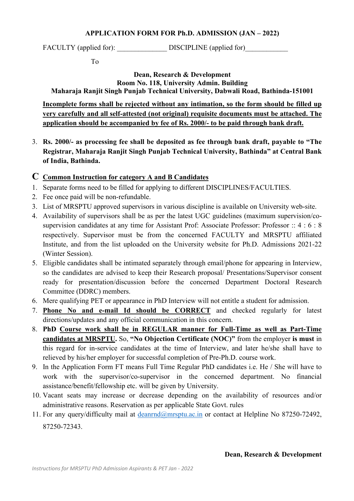# APPLICATION FORM FOR Ph.D. ADMISSION (JAN – 2022)

To

# FACULTY (applied for): \_\_\_\_\_\_\_\_\_\_\_\_\_\_ DISCIPLINE (applied for)\_\_\_\_\_\_\_\_\_\_\_\_ I FORM FOR Ph.D. ADMISSION (JAN – 2022)<br>
DISCIPLINE (applied for)<br>
Dean, Research & Development<br>
Dean, Research & Development<br>
No. 118, University Admin. Building<br>
njab Technical University, Dabwali Road, Bathinda-151001<br>

TION FORM FOR Ph.D. ADMISSION (JAN – 2022)<br>
DISCIPLINE (applied for)<br>
Dean, Research & Development<br>
Room No. 118, University Admin. Building<br>
the Punjab Technical University, Dabwali Road, Bathinda-151001<br>
the rejected wi Maharaja Ranjit Singh Punjab Technical University, Dabwali Road, Bathinda-151001 **INCOLLTY** (applied for):<br> **INCOLLTY** (applied for).<br> **INCOLLTY** (applied for).<br> **IO**<br> **IO**<br> **IO**<br> **IO**<br> **IO**<br> **IO**<br> **IO**<br> **IO**<br> **IO**<br> **IO**<br> **IO**<br> **IO**<br> **IO**<br> **IO**<br> **IO**<br> **IO**<br> **IO**<br> **IO**<br> **IO**<br> **IO**<br> **IO**<br> **IO**<br> **IO**<br> **I** APPLICATION FORM FOR Ph.D. ADMISSION (JAN – 2022)<br>
FACULTY (applied for)<br>
To<br>
DISCIPLINE (applied for)<br>
To<br>
Dean, Research & Development<br>
Room No. 118, University Admin. Building<br>
Maharaja Ranjit Singh Punjab Technical Uni application should be accompanied by fee of Rs. 2000/- to be paid through bank draft. **APPLICATION FORM FOR Ph.D. ADMISSION (JAN – 2022)**<br>
FACULTY (applied for):<br>
To<br> **EXECULTY** (applied for)<br>
To<br> **EXECULTY** (applied form **Room No. 118**, University, Admin. Building<br> **INCORDITY** Technical University, Dabwali **APPLICATION FORM FOR Ph.D. ADMISSION (JAN – 2<br>
FACULTY (applied for):** DISCIPLINE (applied for)<br>
To<br> **Dean, Research & Development**<br> **Room No. 118, University Admin. Building**<br> **Maharaja Ranjit Singh Punjab Technical Uni** 

3. Rs. 2000/- as processing fee shall be deposited as fee through bank draft, paylor and Interventional Discreption of the deposited as feed to the deposited as feed to the deposited as feed through to the deposited as fee **EXECULTY** (applied for):<br> **EXECULTY** (applied for):<br>
To<br> **EXECULTY** (applied for):<br>
To<br> **EXECULTY** (applied for):<br>
To<br> **EXECULTY** (applied for):<br> **EXECULTY** (applied for):<br> **EXECULTY** (applied forms<br> **EXECULTY** and all s **EXECULTY** (applied for):<br> **EXECULTY** (applied for):<br> **EXECULTY** (applied for):<br> **EXECULTY** (applied for):<br> **EXECULTY** (applied for):<br> **EXECULTY** (applied for):<br> **EXECULTY** (applied forms need to be forms need to be forms EXECULTY (applied for):<br>
To<br> **EXECULTY** (applied for)<br> **EXECULTY** (applied for)<br> **EXECULTY** (applied for)<br> **EXECULTY** (**Referred with Straigh Punjab Technical University, Dabwali Road, Bathinda-15<br>
<u>Incomplete forms shall** </u>

- 
- 
- 
- 3. Ist of MRSPTU approvisors in Various disciplines in various disciplines in the metalline moment in the relation of the state of MRSPTU approxement of the Specifical University, Dabwali Road, Bathinda-151001<br>
<u>Incomplete</u> 1.0<br>
1.18. Development<br>
1.18. University Admin. Building<br>
1.18. University, Dabwali Road, Bathinda-151001<br>
1.19. Incomplete forms shall be rejected without any intimation, so the form should be filled up<br>
1.19. The applica **Examplement Consolution**<br> **Examples at any information control in the University Admin.** Building<br> **Example Forms shall be rejected without any intimation, so the form should be filled up<br>
very carefully and all self-atte** Respectively. Admin. Building<br>
Maharaja Ranjit Singh Punjab Technical University, Dabwali Road, Bathinda-151001<br>
Incomplete forms shall be rejected without any intimation, so the form should be filled up<br>
very carefully an Maharaja Ranjit Singh Punjab Technical University, Dabwali Road, Bathinda-1-51001<br>
<u>Incomplete forms shall be rejected without any intimation, so the form should be filled up<br>
every carefully and all self-attested (not ori</u> Incomplete forms shall be rejected without any intimation, so the form<br>very carefully and all self-attested (not original) requisite documents mapplication should be accompanied by fee of Rs. 2000/- to be paid throug<br>Rs. 2 Startested (not original) requisite documents must be attached. The<br>
supplication should be accompanied by fee of Rs. 2000/- to be paid through bank draft.<br>
3. Rs. 2000/- as processing fee shall be deposited as fee throug **application should be accompanied by fee of Rs. 2000/- to be paid through bank draft,<br>
Rs. 2000/- as processing fee shall be deposited as fee through bank draft, payable to "The<br>
Registrar, Maharaja Ranjit Singh Punjab Te** Rs. 2000/- as processing fee shall be deposited as fee through bank draft, payable to "The Registrar, Maharaja Ranjit Singh Punjab Technical University, Bathinda" at Central Bank of India, Bathinda.<br>
Common Instruction for Rs. 2000/- as processing fee shall be deposited as fee through bank draft, payable<br>Registrar, Maharaja Ranjit Singh Punjab Technical University, Bathinda" at Centr<br>of India, Bathinda.<br>Common Instruction for category A and Registrar, Maharaja Ranjit Singh Punjab Technical University, Bathinda" at Central Bank<br>
of India, Bathinda.<br>
C. Common Instruction for category A and B Candidates<br>
1. Separate forms need to be filled for applying to diffe of India, Bathinda.<br> **C** Common Instruction for category A and B Candidates<br>
1. Separate forms need to be filled for applying to different DISCIPLINES/FACULTIES.<br>
2. Fec once paid will be non-refundable.<br>
3. List of MRSPT **Common Instruction for category A and B Candidates**<br>Separate forms need to be filled for applying to different DISCIPLINES/FACULTIES.<br>Foc once paid will be non-refundable.<br>Availability of supervisors in various disciplin **Common Instruction for category A and B Candidates**<br>
2. Fee once paid will be non-refundable.<br>
2. Fee once paid will be non-refundable.<br>
3. List of MRSPTU approved supervisors in various discipline is available on Univer Separate forms need to be filled for applying to different DISCIPLINES/FACULTIES.<br>
Fes once paid will be non-refundable.<br>
List of MRSPTU approved supervisors in various discipline is available on University web-site.<br>
Avai Fee once paid will be non-refundable.<br>
List of MRSPTU approved supervisors in various discipline is available on University web-site.<br>
List of MRSPTU approvisors shall be as per the latest UGC guidelines (maximum supervisi List of MRSPTU approved supervisors in various discipline is available on University web-site.<br>Availability of supervision/columes shall be as per the latest UGC guidelines (maximum supervision) co-<br>supervision candidates 4. Availability of supervisors shall be as per the latest UGC guidelines (maximum supervision/co-<br>supervision candidates at any time for Assistant Prof: Associate Professor: Professor:  $24 \div 6 \div 8$ <br>respectively. Superviso
- 
- 
- 
- directions/updates and any official communication in this concern.<br> **EARLY COMITS COMISS AND DEARLY SOUTHER ART ART CONTIFIES and CONTIFIES and CONTIFIES conditions for in-service candidates at the time of Interview, and l** supervision candidates at any time for Assistant Prof: Associate Professor: Professor: :: 4 : 6 : 8<br>
respectively. Supervisor must be from the concerned FACULTY and MRSPTU affiliated<br>
Institute, and from the list uploaded respectively. Supervisor must be from the concerned FACULTY and MRSPTU affiliated<br>Institute, and from the list uploaded on the University website for Ph.D. Admissions 2021-22<br>(Winter Session).<br>Eligible candidates shall be Institute, and from the list uploaded on the University website for Ph.D. Admissions 2021-22<br>
(Winter Session).<br>
5. Eligible candidates shall be intimated separately through email/phone for appearing in Interview,<br>
so the (Winter Session).<br>Eligible candidates shall be intimated separately through email/phone for appearing in Interview,<br>Eligible candidates are advised to keep their Research proposal/ Presentations/Supervisor consent<br>ready fo 5. Eligible candidates shall be intimated separately through email/phone for appearing in Interview,<br>
so the candidates are advised to keep their Research proposal/ Presentations/Supervisor consent<br>
ready for presentation ntitle a student for admission.<br>
d checked regularly for latest<br>
rm.<br> **C**)" from the employer is must in<br>
c, and later he/she shall have to<br>
h.D. course work.<br>
didates i.e. He / She will have to<br>
ned department. No financi
- 
- 
- 87250-72343.